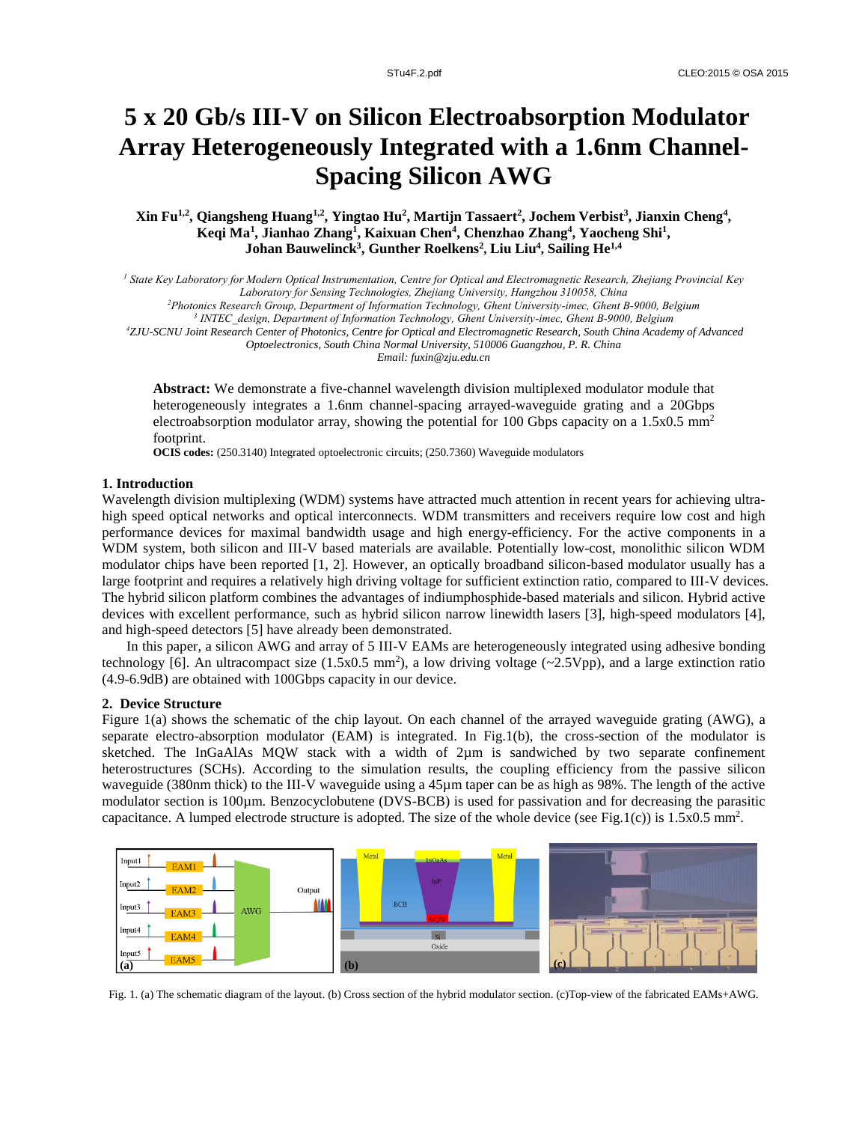# **5 x 20 Gb/s III-V on Silicon Electroabsorption Modulator Array Heterogeneously Integrated with a 1.6nm Channel-Spacing Silicon AWG**

**Xin Fu1,2 , Qiangsheng Huang1,2 , Yingtao Hu<sup>2</sup> , Martijn Tassaert<sup>2</sup> , Jochem Verbist<sup>3</sup> , Jianxin Cheng<sup>4</sup> , Keqi Ma<sup>1</sup> , Jianhao Zhang<sup>1</sup> , Kaixuan Chen<sup>4</sup> , Chenzhao Zhang<sup>4</sup> , Yaocheng Shi<sup>1</sup> , Johan Bauwelinck<sup>3</sup> , Gunther Roelkens<sup>2</sup> , Liu Liu<sup>4</sup> , Sailing He1,4**

*<sup>1</sup> State Key Laboratory for Modern Optical Instrumentation, Centre for Optical and Electromagnetic Research, Zhejiang Provincial Key* 

*Laboratory for Sensing Technologies, Zhejiang University, Hangzhou 310058, China*

*<sup>2</sup>Photonics Research Group, Department of Information Technology, Ghent University-imec, Ghent B-9000, Belgium*

*3 INTEC\_design, Department of Information Technology, Ghent University-imec, Ghent B-9000, Belgium*

*<sup>4</sup>ZJU-SCNU Joint Research Center of Photonics, Centre for Optical and Electromagnetic Research, South China Academy of Advanced Optoelectronics, South China Normal University, 510006 Guangzhou, P. R. China*

*Email: fuxin@zju.edu.cn*

**Abstract:** We demonstrate a five-channel wavelength division multiplexed modulator module that heterogeneously integrates a 1.6nm channel-spacing arrayed-waveguide grating and a 20Gbps electroabsorption modulator array, showing the potential for 100 Gbps capacity on a  $1.5x0.5$  mm<sup>2</sup> footprint.

**OCIS codes:** (250.3140) Integrated optoelectronic circuits; (250.7360) Waveguide modulators

#### **1. Introduction**

Wavelength division multiplexing (WDM) systems have attracted much attention in recent years for achieving ultrahigh speed optical networks and optical interconnects. WDM transmitters and receivers require low cost and high performance devices for maximal bandwidth usage and high energy-efficiency. For the active components in a WDM system, both silicon and III-V based materials are available. Potentially low-cost, monolithic silicon WDM modulator chips have been reported [1, 2]. However, an optically broadband silicon-based modulator usually has a large footprint and requires a relatively high driving voltage for sufficient extinction ratio, compared to III-V devices. The hybrid silicon platform combines the advantages of indiumphosphide-based materials and silicon. Hybrid active devices with excellent performance, such as hybrid silicon narrow linewidth lasers [3], high-speed modulators [4], and high-speed detectors [5] have already been demonstrated.

In this paper, a silicon AWG and array of 5 III-V EAMs are heterogeneously integrated using adhesive bonding technology [6]. An ultracompact size  $(1.5x0.5 \text{ mm}^2)$ , a low driving voltage  $(\sim 2.5 \text{Vpp})$ , and a large extinction ratio (4.9-6.9dB) are obtained with 100Gbps capacity in our device.

#### **2. Device Structure**

Figure 1(a) shows the schematic of the chip layout. On each channel of the arrayed waveguide grating (AWG), a separate electro-absorption modulator (EAM) is integrated. In Fig.1(b), the cross-section of the modulator is sketched. The InGaAlAs MQW stack with a width of 2µm is sandwiched by two separate confinement heterostructures (SCHs). According to the simulation results, the coupling efficiency from the passive silicon waveguide (380nm thick) to the III-V waveguide using a 45µm taper can be as high as 98%. The length of the active modulator section is 100µm. Benzocyclobutene (DVS-BCB) is used for passivation and for decreasing the parasitic capacitance. A lumped electrode structure is adopted. The size of the whole device (see Fig.1(c)) is  $1.5x0.5 \text{ mm}^2$ .



Fig. 1. (a) The schematic diagram of the layout. (b) Cross section of the hybrid modulator section. (c)Top-view of the fabricated EAMs+AWG.